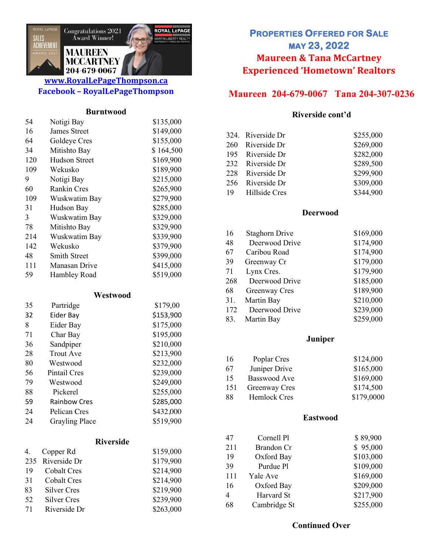

## **www.RoyalLePageThompson.ca Facebook – RoyalLePageThompson**

#### **Burntwood**

| 54       | Notigi Bay                  | \$135,000        |
|----------|-----------------------------|------------------|
| 16       | <b>James Street</b>         | \$149,000        |
| 64       | Goldeye Cres                | \$155,000        |
| 34       | Mitishto Bay                | \$164,500        |
| 120      | <b>Hudson Street</b>        | \$169,900        |
| 109      | Wekusko                     | \$189,900        |
| 9        | Notigi Bay                  | \$215,000        |
| 60       | <b>Rankin Cres</b>          | \$265,900        |
| 109      | Wuskwatim Bay               | \$279,900        |
| 31       | Hudson Bay                  | \$285,000        |
| 3        | Wuskwatim Bay               | \$329,000        |
| 78       | Mitishto Bay                | \$329,900        |
| 214      | Wuskwatim Bay               | \$339,900        |
| 142      | Wekusko                     | \$379,900        |
| 48       | <b>Smith Street</b>         | \$399,000        |
| 111      | Manasan Drive               | \$415,000        |
| 59       | Hambley Road                | \$519,000        |
|          | Westwood                    |                  |
| 35       | Partridge                   | \$179,00         |
| 32       | Eider Bay                   | \$153,900        |
| 8        | Eider Bay                   | \$175,000        |
| 71       | Char Bay                    | \$195,000        |
| 36       | Sandpiper                   | \$210,000        |
| 28       | <b>Trout Ave</b>            | \$213,900        |
| $\Omega$ | $W_{\alpha\alpha}$ turo o d | <u> የገንገ ስስስ</u> |

| 80 | Westwood              | \$232,000 |
|----|-----------------------|-----------|
| 56 | Pintail Cres          | \$239,000 |
| 79 | Westwood              | \$249,000 |
| 88 | Pickerel              | \$255,000 |
| 59 | <b>Rainbow Cres</b>   | \$285,000 |
| 24 | Pelican Cres          | \$432,000 |
| 24 | <b>Grayling Place</b> | \$519,900 |

### **Riverside**

| 4. | Copper Rd        | \$159,000 |
|----|------------------|-----------|
|    | 235 Riverside Dr | \$179,900 |
| 19 | Cobalt Cres      | \$214,900 |
| 31 | Cobalt Cres      | \$214,900 |
| 83 | Silver Cres      | \$219,900 |
| 52 | Silver Cres      | \$239,900 |
| 71 | Riverside Dr     | \$263,000 |

# **PROPERTIES OFFERED FOR SALE MAY 23, 2022 Maureen & Tana McCartney Experienced 'Hometown' Realtors**

# **Maureen 204-679-0067 Tana 204-307-0236**

#### **Riverside cont'd**

| 324. Riverside Dr | \$255,000 |
|-------------------|-----------|
| 260 Riverside Dr  | \$269,000 |
| 195 Riverside Dr  | \$282,000 |
| 232 Riverside Dr  | \$289,500 |
| 228 Riverside Dr  | \$299,900 |
| 256 Riverside Dr  | \$309,000 |
| 19 Hillside Cres  | \$344,900 |

#### **Deerwood**

| <b>Staghorn Drive</b> | \$169,000 |
|-----------------------|-----------|
| Deerwood Drive        | \$174,900 |
| Caribou Road          | \$174,900 |
| Greenway Cr           | \$179,000 |
| Lynx Cres.            | \$179,900 |
| Deerwood Drive        | \$185,000 |
| Greenway Cres         | \$189,900 |
| Martin Bay            | \$210,000 |
| Deerwood Drive        | \$239,000 |
| Martin Bay            | \$259,000 |
|                       |           |

#### **Juniper**

| 16  | Poplar Cres   | \$124,000  |
|-----|---------------|------------|
| 67  | Juniper Drive | \$165,000  |
| 15  | Basswood Ave  | \$169,000  |
| 151 | Greenway Cres | \$174,500  |
| 88  | Hemlock Cres  | \$179,0000 |

### **Eastwood**

| 47  | Cornell Pl   | \$89,900  |
|-----|--------------|-----------|
| 211 | Brandon Cr   | \$95,000  |
| 19  | Oxford Bay   | \$103,000 |
| 39  | Purdue Pl    | \$109,000 |
| 111 | Yale Ave     | \$169,000 |
| 16  | Oxford Bay   | \$209,000 |
| 4   | Harvard St   | \$217,900 |
| 68  | Cambridge St | \$255,000 |

### **Continued Over**